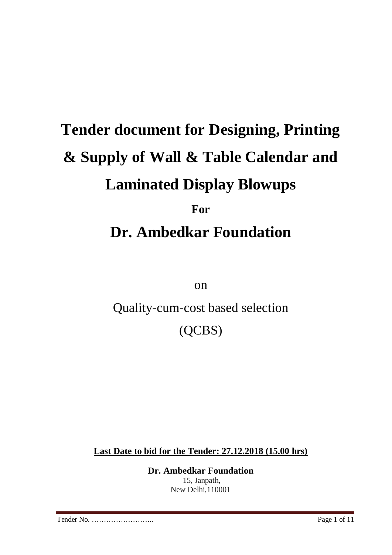# **Tender document for Designing, Printing & Supply of Wall & Table Calendar and Laminated Display Blowups For Dr. Ambedkar Foundation**

on

Quality-cum-cost based selection

(QCBS)

**Last Date to bid for the Tender: 27.12.2018 (15.00 hrs)**

**Dr. Ambedkar Foundation** 15, Janpath, New Delhi,110001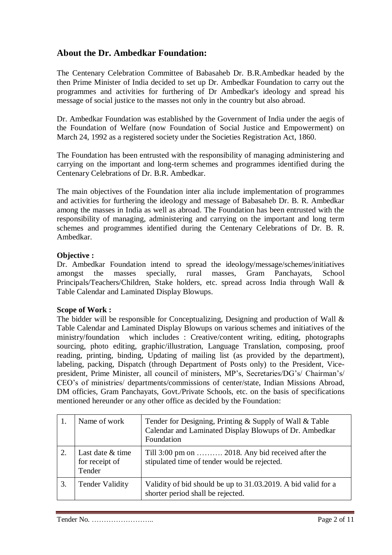### **About the Dr. Ambedkar Foundation:**

The Centenary Celebration Committee of Babasaheb Dr. B.R.Ambedkar headed by the then Prime Minister of India decided to set up Dr. Ambedkar Foundation to carry out the programmes and activities for furthering of Dr Ambedkar's ideology and spread his message of social justice to the masses not only in the country but also abroad.

Dr. Ambedkar Foundation was established by the Government of India under the aegis of the Foundation of Welfare (now Foundation of Social Justice and Empowerment) on March 24, 1992 as a registered society under the Societies Registration Act, 1860.

The Foundation has been entrusted with the responsibility of managing administering and carrying on the important and long-term schemes and programmes identified during the Centenary Celebrations of Dr. B.R. Ambedkar.

The main objectives of the Foundation inter alia include implementation of programmes and activities for furthering the ideology and message of Babasaheb Dr. B. R. Ambedkar among the masses in India as well as abroad. The Foundation has been entrusted with the responsibility of managing, administering and carrying on the important and long term schemes and programmes identified during the Centenary Celebrations of Dr. B. R. Ambedkar.

#### **Objective :**

Dr. Ambedkar Foundation intend to spread the ideology/message/schemes/initiatives amongst the masses specially, rural masses, Gram Panchayats, School Principals/Teachers/Children, Stake holders, etc. spread across India through Wall & Table Calendar and Laminated Display Blowups.

#### **Scope of Work :**

The bidder will be responsible for Conceptualizing, Designing and production of Wall & Table Calendar and Laminated Display Blowups on various schemes and initiatives of the ministry/foundation which includes : Creative/content writing, editing, photographs sourcing, photo editing, graphic/illustration, Language Translation, composing, proof reading, printing, binding, Updating of mailing list (as provided by the department), labeling, packing, Dispatch (through Department of Posts only) to the President, Vicepresident, Prime Minister, all council of ministers, MP's, Secretaries/DG's/ Chairman's/ CEO's of ministries/ departments/commissions of center/state, Indian Missions Abroad, DM officies, Gram Panchayats, Govt./Private Schools, etc. on the basis of specifications mentioned hereunder or any other office as decided by the Foundation:

|    | Name of work                                 | Tender for Designing, Printing & Supply of Wall & Table<br>Calendar and Laminated Display Blowups of Dr. Ambedkar<br>Foundation |  |
|----|----------------------------------------------|---------------------------------------------------------------------------------------------------------------------------------|--|
| 2. | Last date & time<br>for receipt of<br>Tender | Till 3:00 pm on  2018. Any bid received after the<br>stipulated time of tender would be rejected.                               |  |
| 3. | <b>Tender Validity</b>                       | Validity of bid should be up to 31.03.2019. A bid valid for a<br>shorter period shall be rejected.                              |  |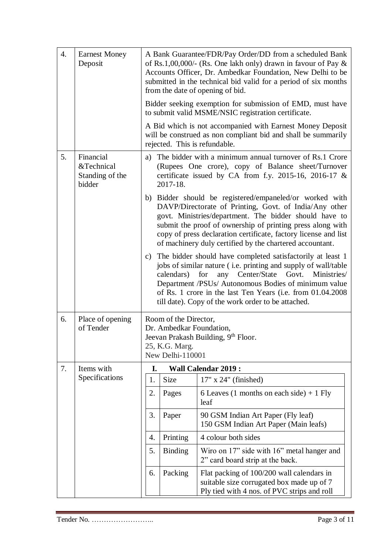| 4. | <b>Earnest Money</b><br>Deposit                      |                                                                                                                                                                                                                                                                                                                                                                               | A Bank Guarantee/FDR/Pay Order/DD from a scheduled Bank<br>of Rs.1,00,000/- (Rs. One lakh only) drawn in favour of Pay $\&$<br>Accounts Officer, Dr. Ambedkar Foundation, New Delhi to be<br>submitted in the technical bid valid for a period of six months<br>from the date of opening of bid.                                                                         |                                                                                                                                                                              |  |  |  |  |
|----|------------------------------------------------------|-------------------------------------------------------------------------------------------------------------------------------------------------------------------------------------------------------------------------------------------------------------------------------------------------------------------------------------------------------------------------------|--------------------------------------------------------------------------------------------------------------------------------------------------------------------------------------------------------------------------------------------------------------------------------------------------------------------------------------------------------------------------|------------------------------------------------------------------------------------------------------------------------------------------------------------------------------|--|--|--|--|
|    |                                                      |                                                                                                                                                                                                                                                                                                                                                                               | Bidder seeking exemption for submission of EMD, must have<br>to submit valid MSME/NSIC registration certificate.                                                                                                                                                                                                                                                         |                                                                                                                                                                              |  |  |  |  |
|    |                                                      |                                                                                                                                                                                                                                                                                                                                                                               |                                                                                                                                                                                                                                                                                                                                                                          | A Bid which is not accompanied with Earnest Money Deposit<br>will be construed as non compliant bid and shall be summarily<br>rejected. This is refundable.                  |  |  |  |  |
| 5. | Financial<br>&Technical<br>Standing of the<br>bidder |                                                                                                                                                                                                                                                                                                                                                                               | 2017-18.                                                                                                                                                                                                                                                                                                                                                                 | a) The bidder with a minimum annual turnover of Rs.1 Crore<br>(Rupees One crore), copy of Balance sheet/Turnover<br>certificate issued by CA from f.y. 2015-16, 2016-17 $\&$ |  |  |  |  |
|    |                                                      |                                                                                                                                                                                                                                                                                                                                                                               | b) Bidder should be registered/empaneled/or worked with<br>DAVP/Directorate of Printing, Govt. of India/Any other<br>govt. Ministries/department. The bidder should have to<br>submit the proof of ownership of printing press along with<br>copy of press declaration certificate, factory license and list<br>of machinery duly certified by the chartered accountant. |                                                                                                                                                                              |  |  |  |  |
|    |                                                      | c) The bidder should have completed satisfactorily at least 1<br>jobs of similar nature (i.e. printing and supply of wall/table<br>any Center/State<br>Govt.<br>calendars)<br>for<br>Ministries/<br>Department /PSUs/ Autonomous Bodies of minimum value<br>of Rs. 1 crore in the last Ten Years (i.e. from 01.04.2008)<br>till date). Copy of the work order to be attached. |                                                                                                                                                                                                                                                                                                                                                                          |                                                                                                                                                                              |  |  |  |  |
| 6. | Place of opening<br>of Tender                        |                                                                                                                                                                                                                                                                                                                                                                               | Room of the Director,<br>Dr. Ambedkar Foundation,<br>25, K.G. Marg.<br>New Delhi-110001                                                                                                                                                                                                                                                                                  | Jeevan Prakash Building, 9th Floor.                                                                                                                                          |  |  |  |  |
| 7. | Items with                                           | I.                                                                                                                                                                                                                                                                                                                                                                            |                                                                                                                                                                                                                                                                                                                                                                          | <b>Wall Calendar 2019:</b>                                                                                                                                                   |  |  |  |  |
|    | Specifications                                       | 1.                                                                                                                                                                                                                                                                                                                                                                            | Size                                                                                                                                                                                                                                                                                                                                                                     | 17" x 24" (finished)                                                                                                                                                         |  |  |  |  |
|    |                                                      | 2.                                                                                                                                                                                                                                                                                                                                                                            | Pages                                                                                                                                                                                                                                                                                                                                                                    | 6 Leaves (1 months on each side) $+$ 1 Fly<br>leaf                                                                                                                           |  |  |  |  |
|    |                                                      | 3.                                                                                                                                                                                                                                                                                                                                                                            | Paper<br>90 GSM Indian Art Paper (Fly leaf)<br>150 GSM Indian Art Paper (Main leafs)                                                                                                                                                                                                                                                                                     |                                                                                                                                                                              |  |  |  |  |
|    |                                                      | 4.                                                                                                                                                                                                                                                                                                                                                                            | 4 colour both sides<br>Printing                                                                                                                                                                                                                                                                                                                                          |                                                                                                                                                                              |  |  |  |  |
|    |                                                      | 5.                                                                                                                                                                                                                                                                                                                                                                            | <b>Binding</b>                                                                                                                                                                                                                                                                                                                                                           | Wiro on 17" side with 16" metal hanger and<br>2" card board strip at the back.                                                                                               |  |  |  |  |
|    |                                                      | Packing<br>Flat packing of 100/200 wall calendars in<br>6.<br>suitable size corrugated box made up of 7<br>Ply tied with 4 nos. of PVC strips and roll                                                                                                                                                                                                                        |                                                                                                                                                                                                                                                                                                                                                                          |                                                                                                                                                                              |  |  |  |  |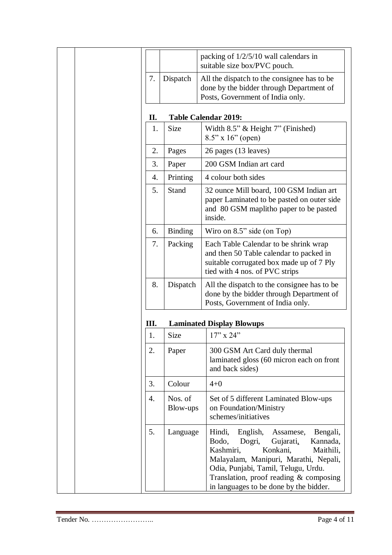|    |                                                                                                                                         | packing of $1/2/5/10$ wall calendars in<br>suitable size box/PVC pouch.                                                                                                                                                                                                                             |  |  |
|----|-----------------------------------------------------------------------------------------------------------------------------------------|-----------------------------------------------------------------------------------------------------------------------------------------------------------------------------------------------------------------------------------------------------------------------------------------------------|--|--|
| 7. | Dispatch                                                                                                                                | All the dispatch to the consignee has to be<br>done by the bidder through Department of<br>Posts, Government of India only.                                                                                                                                                                         |  |  |
| П. |                                                                                                                                         | <b>Table Calendar 2019:</b>                                                                                                                                                                                                                                                                         |  |  |
| 1. | <b>Size</b>                                                                                                                             | Width 8.5" & Height 7" (Finished)<br>$8.5"$ x 16" (open)                                                                                                                                                                                                                                            |  |  |
| 2. | Pages                                                                                                                                   | 26 pages (13 leaves)                                                                                                                                                                                                                                                                                |  |  |
| 3. | Paper                                                                                                                                   | 200 GSM Indian art card                                                                                                                                                                                                                                                                             |  |  |
| 4. | Printing                                                                                                                                | 4 colour both sides                                                                                                                                                                                                                                                                                 |  |  |
| 5. | Stand                                                                                                                                   | 32 ounce Mill board, 100 GSM Indian art<br>paper Laminated to be pasted on outer side<br>and 80 GSM maplitho paper to be pasted<br>inside.                                                                                                                                                          |  |  |
| 6. | <b>Binding</b>                                                                                                                          | Wiro on 8.5" side (on Top)                                                                                                                                                                                                                                                                          |  |  |
| 7. | Packing                                                                                                                                 | Each Table Calendar to be shrink wrap<br>and then 50 Table calendar to packed in<br>suitable corrugated box made up of 7 Ply<br>tied with 4 nos. of PVC strips                                                                                                                                      |  |  |
| 8. | Dispatch<br>All the dispatch to the consignee has to be<br>done by the bidder through Department of<br>Posts, Government of India only. |                                                                                                                                                                                                                                                                                                     |  |  |
| Ш. |                                                                                                                                         | <b>Laminated Display Blowups</b>                                                                                                                                                                                                                                                                    |  |  |
| 1. | Size                                                                                                                                    | $17"$ x 24"                                                                                                                                                                                                                                                                                         |  |  |
| 2. | Paper                                                                                                                                   | 300 GSM Art Card duly thermal<br>laminated gloss (60 micron each on front<br>and back sides)                                                                                                                                                                                                        |  |  |
| 3. | Colour                                                                                                                                  | $4 + 0$                                                                                                                                                                                                                                                                                             |  |  |
| 4. | Nos. of<br>Blow-ups                                                                                                                     | Set of 5 different Laminated Blow-ups<br>on Foundation/Ministry<br>schemes/initiatives                                                                                                                                                                                                              |  |  |
| 5. | Language                                                                                                                                | Hindi,<br>English,<br>Bengali,<br>Assamese,<br>Kannada,<br>Bodo,<br>Dogri,<br>Gujarati,<br>Kashmiri,<br>Konkani,<br>Maithili,<br>Malayalam, Manipuri, Marathi, Nepali,<br>Odia, Punjabi, Tamil, Telugu, Urdu.<br>Translation, proof reading $&$ composing<br>in languages to be done by the bidder. |  |  |

<u> 1989 - Johann Stoff, deutscher Stoffen und der Stoffen und der Stoffen und der Stoffen und der Stoffen und der</u>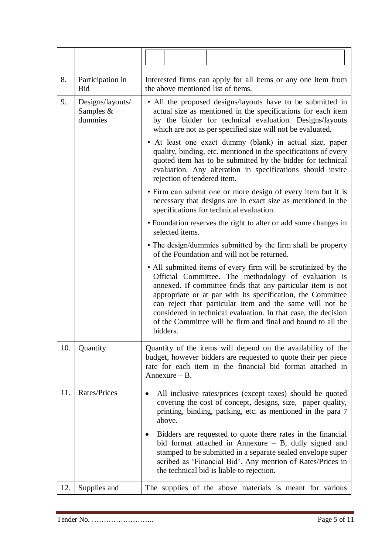| 8.  | Participation in<br><b>Bid</b>           | Interested firms can apply for all items or any one item from<br>the above mentioned list of items.                                                                                                                                                                                                                                                                                                                                                            |  |  |  |  |  |
|-----|------------------------------------------|----------------------------------------------------------------------------------------------------------------------------------------------------------------------------------------------------------------------------------------------------------------------------------------------------------------------------------------------------------------------------------------------------------------------------------------------------------------|--|--|--|--|--|
| 9.  | Designs/layouts/<br>Samples &<br>dummies | • All the proposed designs/layouts have to be submitted in<br>actual size as mentioned in the specifications for each item<br>by the bidder for technical evaluation. Designs/layouts<br>which are not as per specified size will not be evaluated.                                                                                                                                                                                                            |  |  |  |  |  |
|     |                                          | • At least one exact dummy (blank) in actual size, paper<br>quality, binding, etc. mentioned in the specifications of every<br>quoted item has to be submitted by the bidder for technical<br>evaluation. Any alteration in specifications should invite<br>rejection of tendered item.                                                                                                                                                                        |  |  |  |  |  |
|     |                                          | • Firm can submit one or more design of every item but it is<br>necessary that designs are in exact size as mentioned in the<br>specifications for technical evaluation.                                                                                                                                                                                                                                                                                       |  |  |  |  |  |
|     |                                          | • Foundation reserves the right to alter or add some changes in<br>selected items.                                                                                                                                                                                                                                                                                                                                                                             |  |  |  |  |  |
|     |                                          | • The design/dummies submitted by the firm shall be property<br>of the Foundation and will not be returned.                                                                                                                                                                                                                                                                                                                                                    |  |  |  |  |  |
|     |                                          | • All submitted items of every firm will be scrutinized by the<br>Official Committee. The methodology of evaluation is<br>annexed. If committee finds that any particular item is not<br>appropriate or at par with its specification, the Committee<br>can reject that particular item and the same will not be<br>considered in technical evaluation. In that case, the decision<br>of the Committee will be firm and final and bound to all the<br>bidders. |  |  |  |  |  |
| 10. | Quantity                                 | Quantity of the items will depend on the availability of the<br>budget, however bidders are requested to quote their per piece<br>rate for each item in the financial bid format attached in<br>Annexure $- B$ .                                                                                                                                                                                                                                               |  |  |  |  |  |
| 11. | Rates/Prices                             | All inclusive rates/prices (except taxes) should be quoted<br>covering the cost of concept, designs, size, paper quality,<br>printing, binding, packing, etc. as mentioned in the para 7<br>above.                                                                                                                                                                                                                                                             |  |  |  |  |  |
|     |                                          | Bidders are requested to quote there rates in the financial<br>bid format attached in Annexure $-$ B, dully signed and<br>stamped to be submitted in a separate sealed envelope super<br>scribed as 'Financial Bid'. Any mention of Rates/Prices in<br>the technical bid is liable to rejection.                                                                                                                                                               |  |  |  |  |  |
| 12. | Supplies and                             | The supplies of the above materials is meant for various                                                                                                                                                                                                                                                                                                                                                                                                       |  |  |  |  |  |

and the control of the control of the control of the control of the control of the control of the control of the control of the control of the control of the control of the control of the control of the control of the cont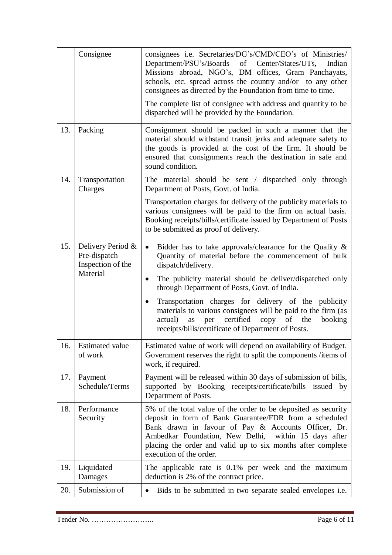|     | Consignee                                                          | consignees i.e. Secretaries/DG's/CMD/CEO's of Ministries/<br>Department/PSU's/Boards<br>of<br>Center/States/UTs,<br>Indian<br>Missions abroad, NGO's, DM offices, Gram Panchayats,<br>schools, etc. spread across the country and/or to any other<br>consignees as directed by the Foundation from time to time.                     |
|-----|--------------------------------------------------------------------|--------------------------------------------------------------------------------------------------------------------------------------------------------------------------------------------------------------------------------------------------------------------------------------------------------------------------------------|
|     |                                                                    | The complete list of consignee with address and quantity to be<br>dispatched will be provided by the Foundation.                                                                                                                                                                                                                     |
| 13. | Packing                                                            | Consignment should be packed in such a manner that the<br>material should withstand transit jerks and adequate safety to<br>the goods is provided at the cost of the firm. It should be<br>ensured that consignments reach the destination in safe and<br>sound condition.                                                           |
| 14. | Transportation<br>Charges                                          | The material should be sent / dispatched only through<br>Department of Posts, Govt. of India.                                                                                                                                                                                                                                        |
|     |                                                                    | Transportation charges for delivery of the publicity materials to<br>various consignees will be paid to the firm on actual basis.<br>Booking receipts/bills/certificate issued by Department of Posts<br>to be submitted as proof of delivery.                                                                                       |
| 15. | Delivery Period &<br>Pre-dispatch<br>Inspection of the<br>Material | Bidder has to take approvals/clearance for the Quality &<br>$\bullet$<br>Quantity of material before the commencement of bulk<br>dispatch/delivery.                                                                                                                                                                                  |
|     |                                                                    | The publicity material should be deliver/dispatched only<br>$\bullet$<br>through Department of Posts, Govt. of India.                                                                                                                                                                                                                |
|     |                                                                    | Transportation charges for delivery of the publicity<br>$\bullet$<br>materials to various consignees will be paid to the firm (as<br>certified copy of the<br>actual)<br>per<br>booking<br>as<br>receipts/bills/certificate of Department of Posts.                                                                                  |
| 16. | <b>Estimated value</b><br>of work                                  | Estimated value of work will depend on availability of Budget.<br>Government reserves the right to split the components /items of<br>work, if required.                                                                                                                                                                              |
| 17. | Payment<br>Schedule/Terms                                          | Payment will be released within 30 days of submission of bills,<br>supported by Booking receipts/certificate/bills issued by<br>Department of Posts.                                                                                                                                                                                 |
| 18. | Performance<br>Security                                            | 5% of the total value of the order to be deposited as security<br>deposit in form of Bank Guarantee/FDR from a scheduled<br>Bank drawn in favour of Pay & Accounts Officer, Dr.<br>Ambedkar Foundation, New Delhi,<br>within 15 days after<br>placing the order and valid up to six months after complete<br>execution of the order. |
| 19. | Liquidated<br>Damages                                              | The applicable rate is 0.1% per week and the maximum<br>deduction is 2% of the contract price.                                                                                                                                                                                                                                       |
| 20. | Submission of                                                      | Bids to be submitted in two separate sealed envelopes <i>i.e.</i>                                                                                                                                                                                                                                                                    |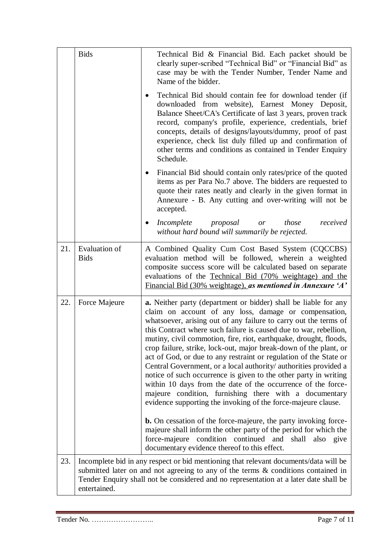|     | <b>Bids</b>                         | Technical Bid & Financial Bid. Each packet should be<br>clearly super-scribed "Technical Bid" or "Financial Bid" as<br>case may be with the Tender Number, Tender Name and<br>Name of the bidder.                                                                                                                                                                                                                                                                                                                                                                                                                                                                                                                                                                                                                                                                                                    |  |  |  |  |  |
|-----|-------------------------------------|------------------------------------------------------------------------------------------------------------------------------------------------------------------------------------------------------------------------------------------------------------------------------------------------------------------------------------------------------------------------------------------------------------------------------------------------------------------------------------------------------------------------------------------------------------------------------------------------------------------------------------------------------------------------------------------------------------------------------------------------------------------------------------------------------------------------------------------------------------------------------------------------------|--|--|--|--|--|
|     |                                     | Technical Bid should contain fee for download tender (if<br>downloaded from website), Earnest Money Deposit,<br>Balance Sheet/CA's Certificate of last 3 years, proven track<br>record, company's profile, experience, credentials, brief<br>concepts, details of designs/layouts/dummy, proof of past<br>experience, check list duly filled up and confirmation of<br>other terms and conditions as contained in Tender Enquiry<br>Schedule.                                                                                                                                                                                                                                                                                                                                                                                                                                                        |  |  |  |  |  |
|     |                                     | Financial Bid should contain only rates/price of the quoted<br>items as per Para No.7 above. The bidders are requested to<br>quote their rates neatly and clearly in the given format in<br>Annexure - B. Any cutting and over-writing will not be<br>accepted.                                                                                                                                                                                                                                                                                                                                                                                                                                                                                                                                                                                                                                      |  |  |  |  |  |
|     |                                     | Incomplete<br>proposal<br>those<br>received<br>or<br>$\bullet$<br>without hard bound will summarily be rejected.                                                                                                                                                                                                                                                                                                                                                                                                                                                                                                                                                                                                                                                                                                                                                                                     |  |  |  |  |  |
| 21. | <b>Evaluation of</b><br><b>Bids</b> | A Combined Quality Cum Cost Based System (CQCCBS)<br>evaluation method will be followed, wherein a weighted<br>composite success score will be calculated based on separate<br>evaluations of the Technical Bid (70% weightage) and the<br>Financial Bid (30% weightage), as mentioned in Annexure 'A'                                                                                                                                                                                                                                                                                                                                                                                                                                                                                                                                                                                               |  |  |  |  |  |
| 22. | Force Majeure                       | <b>a.</b> Neither party (department or bidder) shall be liable for any<br>claim on account of any loss, damage or compensation,<br>whatsoever, arising out of any failure to carry out the terms of<br>this Contract where such failure is caused due to war, rebellion,<br>mutiny, civil commotion, fire, riot, earthquake, drought, floods,<br>crop failure, strike, lock-out, major break-down of the plant, or<br>act of God, or due to any restraint or regulation of the State or<br>Central Government, or a local authority/ authorities provided a<br>notice of such occurrence is given to the other party in writing<br>within 10 days from the date of the occurrence of the force-<br>majeure condition, furnishing there with a documentary<br>evidence supporting the invoking of the force-majeure clause.<br><b>b.</b> On cessation of the force-majeure, the party invoking force- |  |  |  |  |  |
|     |                                     | majeure shall inform the other party of the period for which the<br>force-majeure condition continued and<br>shall also give<br>documentary evidence thereof to this effect.                                                                                                                                                                                                                                                                                                                                                                                                                                                                                                                                                                                                                                                                                                                         |  |  |  |  |  |
| 23. | entertained.                        | Incomplete bid in any respect or bid mentioning that relevant documents/data will be<br>submitted later on and not agreeing to any of the terms & conditions contained in<br>Tender Enquiry shall not be considered and no representation at a later date shall be                                                                                                                                                                                                                                                                                                                                                                                                                                                                                                                                                                                                                                   |  |  |  |  |  |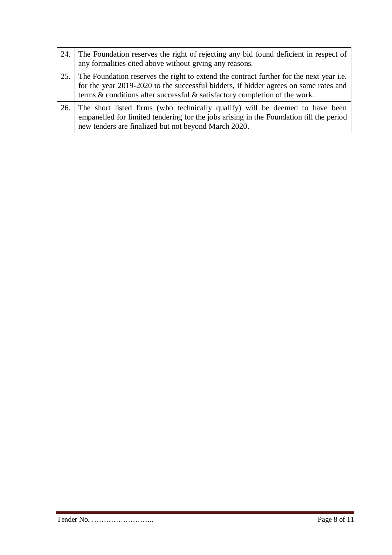| 24. | The Foundation reserves the right of rejecting any bid found deficient in respect of<br>any formalities cited above without giving any reasons.                                                                                                                   |
|-----|-------------------------------------------------------------------------------------------------------------------------------------------------------------------------------------------------------------------------------------------------------------------|
|     | 25. The Foundation reserves the right to extend the contract further for the next year i.e.<br>for the year 2019-2020 to the successful bidders, if bidder agrees on same rates and<br>terms & conditions after successful & satisfactory completion of the work. |
|     | 26. The short listed firms (who technically qualify) will be deemed to have been<br>empanelled for limited tendering for the jobs arising in the Foundation till the period<br>new tenders are finalized but not beyond March 2020.                               |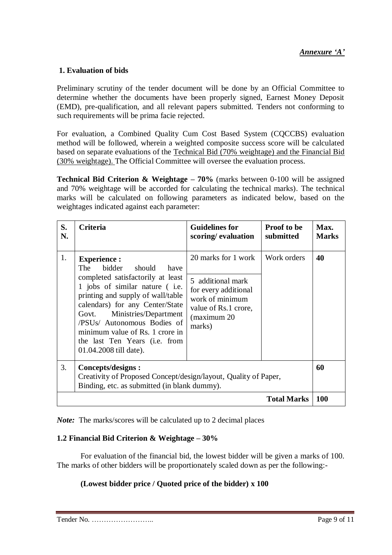#### **1. Evaluation of bids**

Preliminary scrutiny of the tender document will be done by an Official Committee to determine whether the documents have been properly signed, Earnest Money Deposit (EMD), pre-qualification, and all relevant papers submitted. Tenders not conforming to such requirements will be prima facie rejected.

For evaluation, a Combined Quality Cum Cost Based System (CQCCBS) evaluation method will be followed, wherein a weighted composite success score will be calculated based on separate evaluations of the Technical Bid (70% weightage) and the Financial Bid (30% weightage). The Official Committee will oversee the evaluation process.

**Technical Bid Criterion & Weightage – 70%** (marks between 0-100 will be assigned and 70% weightage will be accorded for calculating the technical marks). The technical marks will be calculated on following parameters as indicated below, based on the weightages indicated against each parameter:

| S.<br>N. | Criteria                                                                                                                                                                                                                                                                                                                                                            | <b>Guidelines for</b><br>scoring/evaluation                                                                                           | <b>Proof to be</b><br>submitted | Max.<br><b>Marks</b> |  |  |
|----------|---------------------------------------------------------------------------------------------------------------------------------------------------------------------------------------------------------------------------------------------------------------------------------------------------------------------------------------------------------------------|---------------------------------------------------------------------------------------------------------------------------------------|---------------------------------|----------------------|--|--|
| 1.       | <b>Experience:</b><br>bidder<br>The<br>should<br>have<br>completed satisfactorily at least<br>1 jobs of similar nature (i.e.<br>printing and supply of wall/table<br>calendars) for any Center/State<br>Ministries/Department<br>Govt.<br>/PSUs/ Autonomous Bodies of<br>minimum value of Rs. 1 crore in<br>the last Ten Years (i.e. from<br>01.04.2008 till date). | 20 marks for 1 work<br>5 additional mark<br>for every additional<br>work of minimum<br>value of Rs.1 crore,<br>(maximum 20)<br>marks) | Work orders                     | 40                   |  |  |
| 3.       | Concepts/designs :<br>Creativity of Proposed Concept/design/layout, Quality of Paper,<br>Binding, etc. as submitted (in blank dummy).                                                                                                                                                                                                                               |                                                                                                                                       |                                 |                      |  |  |
|          |                                                                                                                                                                                                                                                                                                                                                                     |                                                                                                                                       | <b>Total Marks</b>              | <b>100</b>           |  |  |

*Note:* The marks/scores will be calculated up to 2 decimal places

#### **1.2 Financial Bid Criterion & Weightage – 30%**

For evaluation of the financial bid, the lowest bidder will be given a marks of 100. The marks of other bidders will be proportionately scaled down as per the following:-

#### **(Lowest bidder price / Quoted price of the bidder) x 100**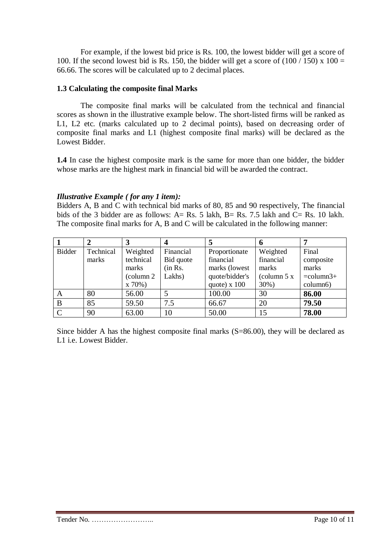For example, if the lowest bid price is Rs. 100, the lowest bidder will get a score of 100. If the second lowest bid is Rs. 150, the bidder will get a score of  $(100 / 150)$  x  $100 =$ 66.66. The scores will be calculated up to 2 decimal places.

#### **1.3 Calculating the composite final Marks**

The composite final marks will be calculated from the technical and financial scores as shown in the illustrative example below. The short-listed firms will be ranked as L1, L2 etc. (marks calculated up to 2 decimal points), based on decreasing order of composite final marks and L1 (highest composite final marks) will be declared as the Lowest Bidder.

**1.4** In case the highest composite mark is the same for more than one bidder, the bidder whose marks are the highest mark in financial bid will be awarded the contract.

#### *Illustrative Example ( for any 1 item):*

Bidders A, B and C with technical bid marks of 80, 85 and 90 respectively, The financial bids of the 3 bidder are as follows: A= Rs. 5 lakh, B= Rs. 7.5 lakh and C= Rs. 10 lakh. The composite final marks for A, B and C will be calculated in the following manner:

|               |           | 3          |           |                | 6            |                       |
|---------------|-----------|------------|-----------|----------------|--------------|-----------------------|
| <b>Bidder</b> | Technical | Weighted   | Financial | Proportionate  | Weighted     | Final                 |
|               | marks     | technical  | Bid quote | financial      | financial    | composite             |
|               |           | marks      | (in Rs.   | marks (lowest  | marks        | marks                 |
|               |           | (column 2) | Lakhs)    | quote/bidder's | (column $5x$ | $=$ column $3+$       |
|               |           | x 70%)     |           | quote) $x 100$ | 30%)         | column <sub>6</sub> ) |
| A             | 80        | 56.00      |           | 100.00         | 30           | 86.00                 |
| B             | 85        | 59.50      | 7.5       | 66.67          | 20           | 79.50                 |
| $\mathcal{C}$ | 90        | 63.00      | 10        | 50.00          | 15           | 78.00                 |

Since bidder A has the highest composite final marks (S=86.00), they will be declared as L1 i.e. Lowest Bidder.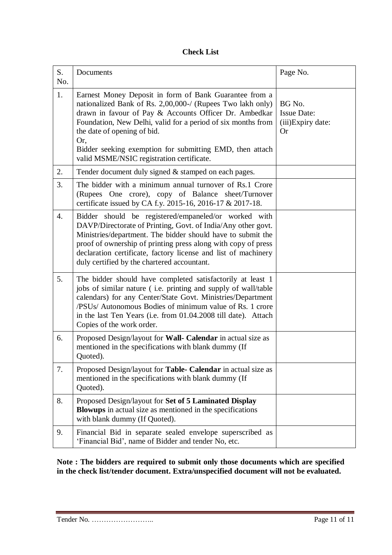#### **Check List**

| S.<br>No. | Documents                                                                                                                                                                                                                                                                                                                                                                                     | Page No.                                                       |
|-----------|-----------------------------------------------------------------------------------------------------------------------------------------------------------------------------------------------------------------------------------------------------------------------------------------------------------------------------------------------------------------------------------------------|----------------------------------------------------------------|
| 1.        | Earnest Money Deposit in form of Bank Guarantee from a<br>nationalized Bank of Rs. 2,00,000-/ (Rupees Two lakh only)<br>drawn in favour of Pay & Accounts Officer Dr. Ambedkar<br>Foundation, New Delhi, valid for a period of six months from<br>the date of opening of bid.<br>Or,<br>Bidder seeking exemption for submitting EMD, then attach<br>valid MSME/NSIC registration certificate. | BG No.<br><b>Issue Date:</b><br>(iii)Expiry date:<br><b>Or</b> |
| 2.        | Tender document duly signed & stamped on each pages.                                                                                                                                                                                                                                                                                                                                          |                                                                |
| 3.        | The bidder with a minimum annual turnover of Rs.1 Crore<br>(Rupees One crore), copy of Balance sheet/Turnover<br>certificate issued by CA f.y. 2015-16, 2016-17 & 2017-18.                                                                                                                                                                                                                    |                                                                |
| 4.        | Bidder should be registered/empaneled/or worked with<br>DAVP/Directorate of Printing, Govt. of India/Any other govt.<br>Ministries/department. The bidder should have to submit the<br>proof of ownership of printing press along with copy of press<br>declaration certificate, factory license and list of machinery<br>duly certified by the chartered accountant.                         |                                                                |
| 5.        | The bidder should have completed satisfactorily at least 1<br>jobs of similar nature (i.e. printing and supply of wall/table<br>calendars) for any Center/State Govt. Ministries/Department<br>/PSUs/ Autonomous Bodies of minimum value of Rs. 1 crore<br>in the last Ten Years (i.e. from 01.04.2008 till date). Attach<br>Copies of the work order.                                        |                                                                |
| 6.        | Proposed Design/layout for Wall- Calendar in actual size as<br>mentioned in the specifications with blank dummy (If<br>Quoted).                                                                                                                                                                                                                                                               |                                                                |
| 7.        | Proposed Design/layout for Table- Calendar in actual size as<br>mentioned in the specifications with blank dummy (If<br>Quoted).                                                                                                                                                                                                                                                              |                                                                |
| 8.        | Proposed Design/layout for Set of 5 Laminated Display<br><b>Blowups</b> in actual size as mentioned in the specifications<br>with blank dummy (If Quoted).                                                                                                                                                                                                                                    |                                                                |
| 9.        | Financial Bid in separate sealed envelope superscribed as<br>'Financial Bid', name of Bidder and tender No, etc.                                                                                                                                                                                                                                                                              |                                                                |

**Note : The bidders are required to submit only those documents which are specified in the check list/tender document. Extra/unspecified document will not be evaluated.**